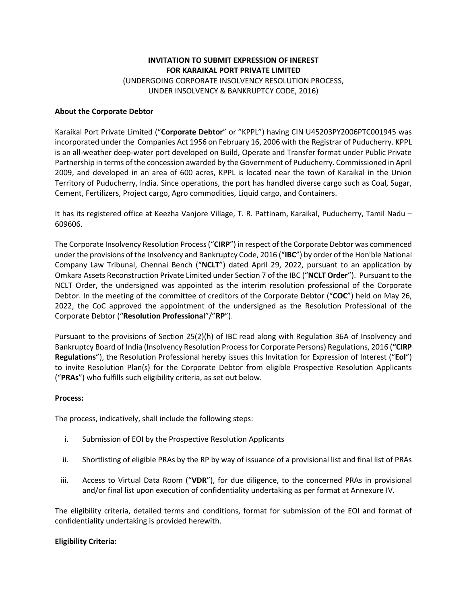# **INVITATION TO SUBMIT EXPRESSION OF INEREST FOR KARAIKAL PORT PRIVATE LIMITED** (UNDERGOING CORPORATE INSOLVENCY RESOLUTION PROCESS, UNDER INSOLVENCY & BANKRUPTCY CODE, 2016)

#### **About the Corporate Debtor**

Karaikal Port Private Limited ("**Corporate Debtor**" or "KPPL") having CIN U45203PY2006PTC001945 was incorporated under the Companies Act 1956 on February 16, 2006 with the Registrar of Puducherry. KPPL is an all-weather deep-water port developed on Build, Operate and Transfer format under Public Private Partnership in terms of the concession awarded by the Government of Puducherry. Commissioned in April 2009, and developed in an area of 600 acres, KPPL is located near the town of Karaikal in the Union Territory of Puducherry, India. Since operations, the port has handled diverse cargo such as Coal, Sugar, Cement, Fertilizers, Project cargo, Agro commodities, Liquid cargo, and Containers.

It has its registered office at Keezha Vanjore Village, T. R. Pattinam, Karaikal, Puducherry, Tamil Nadu – 609606.

The Corporate Insolvency Resolution Process ("**CIRP**") in respect of the Corporate Debtor was commenced under the provisions of the Insolvency and Bankruptcy Code, 2016 ("**IBC**") by order of the Hon'ble National Company Law Tribunal, Chennai Bench ("**NCLT**") dated April 29, 2022, pursuant to an application by Omkara Assets Reconstruction Private Limited under Section 7 of the IBC ("**NCLT Order**"). Pursuant to the NCLT Order, the undersigned was appointed as the interim resolution professional of the Corporate Debtor. In the meeting of the committee of creditors of the Corporate Debtor ("**COC**") held on May 26, 2022, the CoC approved the appointment of the undersigned as the Resolution Professional of the Corporate Debtor ("**Resolution Professional**"/"**RP**").

Pursuant to the provisions of Section 25(2)(h) of IBC read along with Regulation 36A of Insolvency and Bankruptcy Board of India (Insolvency Resolution Process for Corporate Persons) Regulations, 2016 (**"CIRP Regulations**"), the Resolution Professional hereby issues this Invitation for Expression of Interest ("**EoI**") to invite Resolution Plan(s) for the Corporate Debtor from eligible Prospective Resolution Applicants ("**PRAs**") who fulfills such eligibility criteria, as set out below.

#### **Process:**

The process, indicatively, shall include the following steps:

- i. Submission of EOI by the Prospective Resolution Applicants
- ii. Shortlisting of eligible PRAs by the RP by way of issuance of a provisional list and final list of PRAs
- iii. Access to Virtual Data Room ("**VDR**"), for due diligence, to the concerned PRAs in provisional and/or final list upon execution of confidentiality undertaking as per format at Annexure IV.

The eligibility criteria, detailed terms and conditions, format for submission of the EOI and format of confidentiality undertaking is provided herewith.

# **Eligibility Criteria:**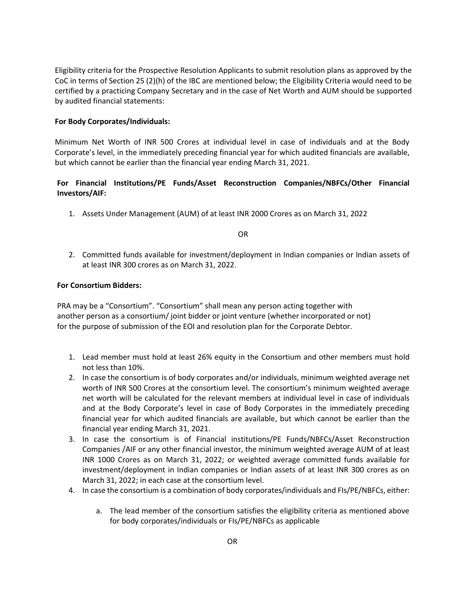Eligibility criteria for the Prospective Resolution Applicants to submit resolution plans as approved by the CoC in terms of Section 25 (2)(h) of the IBC are mentioned below; the Eligibility Criteria would need to be certified by a practicing Company Secretary and in the case of Net Worth and AUM should be supported by audited financial statements:

#### **For Body Corporates/Individuals:**

Minimum Net Worth of INR 500 Crores at individual level in case of individuals and at the Body Corporate's level, in the immediately preceding financial year for which audited financials are available, but which cannot be earlier than the financial year ending March 31, 2021.

# **For Financial Institutions/PE Funds/Asset Reconstruction Companies/NBFCs/Other Financial Investors/AIF:**

1. Assets Under Management (AUM) of at least INR 2000 Crores as on March 31, 2022

OR

2. Committed funds available for investment/deployment in Indian companies or Indian assets of at least INR 300 crores as on March 31, 2022.

#### **For Consortium Bidders:**

PRA may be a "Consortium". "Consortium" shall mean any person acting together with another person as a consortium/ joint bidder or joint venture (whether incorporated or not) for the purpose of submission of the EOI and resolution plan for the Corporate Debtor.

- 1. Lead member must hold at least 26% equity in the Consortium and other members must hold not less than 10%.
- 2. In case the consortium is of body corporates and/or individuals, minimum weighted average net worth of INR 500 Crores at the consortium level. The consortium's minimum weighted average net worth will be calculated for the relevant members at individual level in case of individuals and at the Body Corporate's level in case of Body Corporates in the immediately preceding financial year for which audited financials are available, but which cannot be earlier than the financial year ending March 31, 2021.
- 3. In case the consortium is of Financial institutions/PE Funds/NBFCs/Asset Reconstruction Companies /AIF or any other financial investor, the minimum weighted average AUM of at least INR 1000 Crores as on March 31, 2022; or weighted average committed funds available for investment/deployment in Indian companies or Indian assets of at least INR 300 crores as on March 31, 2022; in each case at the consortium level.
- 4. In case the consortium is a combination of body corporates/individuals and FIs/PE/NBFCs, either:
	- a. The lead member of the consortium satisfies the eligibility criteria as mentioned above for body corporates/individuals or FIs/PE/NBFCs as applicable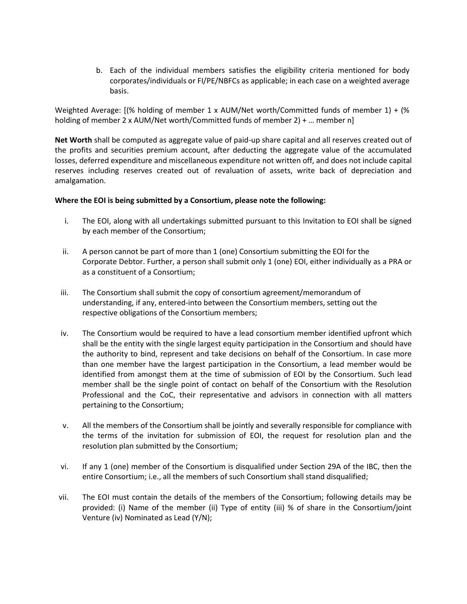b. Each of the individual members satisfies the eligibility criteria mentioned for body corporates/individuals or FI/PE/NBFCs as applicable; in each case on a weighted average basis.

Weighted Average: [(% holding of member 1 x AUM/Net worth/Committed funds of member 1) + (% holding of member 2 x AUM/Net worth/Committed funds of member 2) + … member n]

**Net Worth** shall be computed as aggregate value of paid-up share capital and all reserves created out of the profits and securities premium account, after deducting the aggregate value of the accumulated losses, deferred expenditure and miscellaneous expenditure not written off, and does not include capital reserves including reserves created out of revaluation of assets, write back of depreciation and amalgamation.

#### **Where the EOI is being submitted by a Consortium, please note the following:**

- i. The EOI, along with all undertakings submitted pursuant to this Invitation to EOI shall be signed by each member of the Consortium;
- ii. A person cannot be part of more than 1 (one) Consortium submitting the EOI for the Corporate Debtor. Further, a person shall submit only 1 (one) EOI, either individually as a PRA or as a constituent of a Consortium;
- iii. The Consortium shall submit the copy of consortium agreement/memorandum of understanding, if any, entered-into between the Consortium members, setting out the respective obligations of the Consortium members;
- iv. The Consortium would be required to have a lead consortium member identified upfront which shall be the entity with the single largest equity participation in the Consortium and should have the authority to bind, represent and take decisions on behalf of the Consortium. In case more than one member have the largest participation in the Consortium, a lead member would be identified from amongst them at the time of submission of EOI by the Consortium. Such lead member shall be the single point of contact on behalf of the Consortium with the Resolution Professional and the CoC, their representative and advisors in connection with all matters pertaining to the Consortium;
- v. All the members of the Consortium shall be jointly and severally responsible for compliance with the terms of the invitation for submission of EOI, the request for resolution plan and the resolution plan submitted by the Consortium;
- vi. If any 1 (one) member of the Consortium is disqualified under Section 29A of the IBC, then the entire Consortium; i.e., all the members of such Consortium shall stand disqualified;
- vii. The EOI must contain the details of the members of the Consortium; following details may be provided: (i) Name of the member (ii) Type of entity (iii) % of share in the Consortium/joint Venture (iv) Nominated as Lead (Y/N);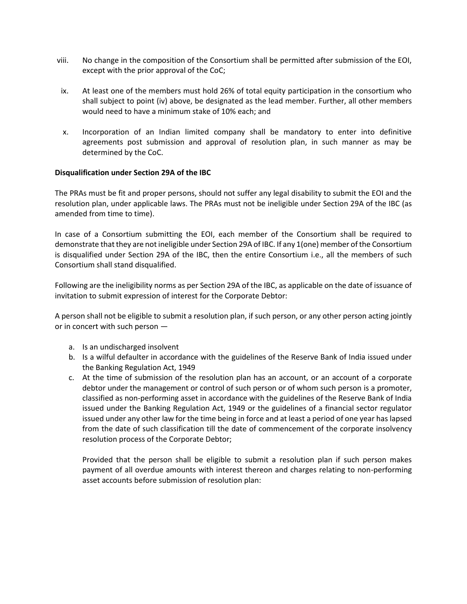- viii. No change in the composition of the Consortium shall be permitted after submission of the EOI, except with the prior approval of the CoC;
- ix. At least one of the members must hold 26% of total equity participation in the consortium who shall subject to point (iv) above, be designated as the lead member. Further, all other members would need to have a minimum stake of 10% each; and
- x. Incorporation of an Indian limited company shall be mandatory to enter into definitive agreements post submission and approval of resolution plan, in such manner as may be determined by the CoC.

#### **Disqualification under Section 29A of the IBC**

The PRAs must be fit and proper persons, should not suffer any legal disability to submit the EOI and the resolution plan, under applicable laws. The PRAs must not be ineligible under Section 29A of the IBC (as amended from time to time).

In case of a Consortium submitting the EOI, each member of the Consortium shall be required to demonstrate that they are not ineligible under Section 29A of IBC. If any 1(one) member of the Consortium is disqualified under Section 29A of the IBC, then the entire Consortium i.e., all the members of such Consortium shall stand disqualified.

Following are the ineligibility norms as per Section 29A of the IBC, as applicable on the date of issuance of invitation to submit expression of interest for the Corporate Debtor:

A person shall not be eligible to submit a resolution plan, if such person, or any other person acting jointly or in concert with such person —

- a. Is an undischarged insolvent
- b. Is a wilful defaulter in accordance with the guidelines of the Reserve Bank of India issued under the Banking Regulation Act, 1949
- c. At the time of submission of the resolution plan has an account, or an account of a corporate debtor under the management or control of such person or of whom such person is a promoter, classified as non-performing asset in accordance with the guidelines of the Reserve Bank of India issued under the Banking Regulation Act, 1949 or the guidelines of a financial sector regulator issued under any other law for the time being in force and at least a period of one year has lapsed from the date of such classification till the date of commencement of the corporate insolvency resolution process of the Corporate Debtor;

Provided that the person shall be eligible to submit a resolution plan if such person makes payment of all overdue amounts with interest thereon and charges relating to non-performing asset accounts before submission of resolution plan: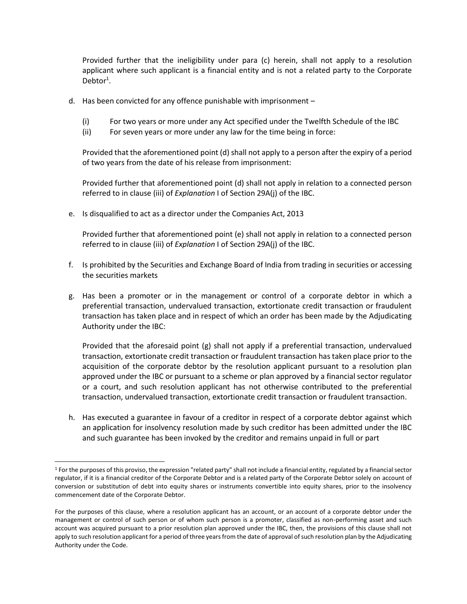Provided further that the ineligibility under para (c) herein, shall not apply to a resolution applicant where such applicant is a financial entity and is not a related party to the Corporate Debtor<sup>1</sup>.

- d. Has been convicted for any offence punishable with imprisonment
	- (i) For two years or more under any Act specified under the Twelfth Schedule of the IBC
	- (ii) For seven years or more under any law for the time being in force:

Provided that the aforementioned point (d) shall not apply to a person after the expiry of a period of two years from the date of his release from imprisonment:

Provided further that aforementioned point (d) shall not apply in relation to a connected person referred to in clause (iii) of *Explanation* I of Section 29A(j) of the IBC.

e. Is disqualified to act as a director under the Companies Act, 2013

Provided further that aforementioned point (e) shall not apply in relation to a connected person referred to in clause (iii) of *Explanation* I of Section 29A(j) of the IBC.

- f. Is prohibited by the Securities and Exchange Board of India from trading in securities or accessing the securities markets
- g. Has been a promoter or in the management or control of a corporate debtor in which a preferential transaction, undervalued transaction, extortionate credit transaction or fraudulent transaction has taken place and in respect of which an order has been made by the Adjudicating Authority under the IBC:

Provided that the aforesaid point (g) shall not apply if a preferential transaction, undervalued transaction, extortionate credit transaction or fraudulent transaction has taken place prior to the acquisition of the corporate debtor by the resolution applicant pursuant to a resolution plan approved under the IBC or pursuant to a scheme or plan approved by a financial sector regulator or a court, and such resolution applicant has not otherwise contributed to the preferential transaction, undervalued transaction, extortionate credit transaction or fraudulent transaction.

h. Has executed a guarantee in favour of a creditor in respect of a corporate debtor against which an application for insolvency resolution made by such creditor has been admitted under the IBC and such guarantee has been invoked by the creditor and remains unpaid in full or part

<sup>&</sup>lt;sup>1</sup> For the purposes of this proviso, the expression "related party" shall not include a financial entity, regulated by a financial sector regulator, if it is a financial creditor of the Corporate Debtor and is a related party of the Corporate Debtor solely on account of conversion or substitution of debt into equity shares or instruments convertible into equity shares, prior to the insolvency commencement date of the Corporate Debtor.

For the purposes of this clause, where a resolution applicant has an account, or an account of a corporate debtor under the management or control of such person or of whom such person is a promoter, classified as non-performing asset and such account was acquired pursuant to a prior resolution plan approved under the IBC, then, the provisions of this clause shall not apply to such resolution applicant for a period of three years from the date of approval of such resolution plan by the Adjudicating Authority under the Code.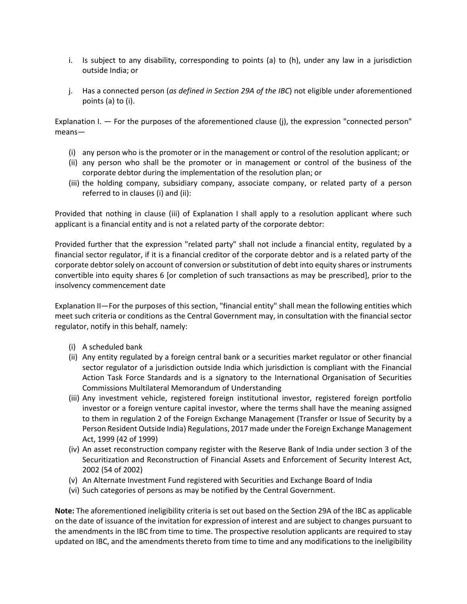- i. Is subject to any disability, corresponding to points (a) to (h), under any law in a jurisdiction outside India; or
- j. Has a connected person (*as defined in Section 29A of the IBC*) not eligible under aforementioned points (a) to (i).

Explanation I. — For the purposes of the aforementioned clause (j), the expression "connected person" means—

- (i) any person who is the promoter or in the management or control of the resolution applicant; or
- (ii) any person who shall be the promoter or in management or control of the business of the corporate debtor during the implementation of the resolution plan; or
- (iii) the holding company, subsidiary company, associate company, or related party of a person referred to in clauses (i) and (ii):

Provided that nothing in clause (iii) of Explanation I shall apply to a resolution applicant where such applicant is a financial entity and is not a related party of the corporate debtor:

Provided further that the expression "related party" shall not include a financial entity, regulated by a financial sector regulator, if it is a financial creditor of the corporate debtor and is a related party of the corporate debtor solely on account of conversion or substitution of debt into equity shares or instruments convertible into equity shares 6 [or completion of such transactions as may be prescribed], prior to the insolvency commencement date

Explanation II—For the purposes of this section, "financial entity" shall mean the following entities which meet such criteria or conditions as the Central Government may, in consultation with the financial sector regulator, notify in this behalf, namely:

- (i) A scheduled bank
- (ii) Any entity regulated by a foreign central bank or a securities market regulator or other financial sector regulator of a jurisdiction outside India which jurisdiction is compliant with the Financial Action Task Force Standards and is a signatory to the International Organisation of Securities Commissions Multilateral Memorandum of Understanding
- (iii) Any investment vehicle, registered foreign institutional investor, registered foreign portfolio investor or a foreign venture capital investor, where the terms shall have the meaning assigned to them in regulation 2 of the Foreign Exchange Management (Transfer or Issue of Security by a Person Resident Outside India) Regulations, 2017 made under the Foreign Exchange Management Act, 1999 (42 of 1999)
- (iv) An asset reconstruction company register with the Reserve Bank of India under section 3 of the Securitization and Reconstruction of Financial Assets and Enforcement of Security Interest Act, 2002 (54 of 2002)
- (v) An Alternate Investment Fund registered with Securities and Exchange Board of India
- (vi) Such categories of persons as may be notified by the Central Government.

**Note:** The aforementioned ineligibility criteria is set out based on the Section 29A of the IBC as applicable on the date of issuance of the invitation for expression of interest and are subject to changes pursuant to the amendments in the IBC from time to time. The prospective resolution applicants are required to stay updated on IBC, and the amendments thereto from time to time and any modifications to the ineligibility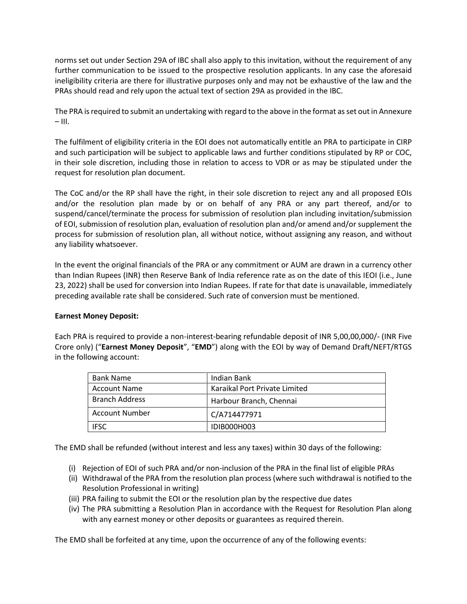norms set out under Section 29A of IBC shall also apply to this invitation, without the requirement of any further communication to be issued to the prospective resolution applicants. In any case the aforesaid ineligibility criteria are there for illustrative purposes only and may not be exhaustive of the law and the PRAs should read and rely upon the actual text of section 29A as provided in the IBC.

The PRA is required to submit an undertaking with regard to the above in the format asset out in Annexure  $-$  III.

The fulfilment of eligibility criteria in the EOI does not automatically entitle an PRA to participate in CIRP and such participation will be subject to applicable laws and further conditions stipulated by RP or COC, in their sole discretion, including those in relation to access to VDR or as may be stipulated under the request for resolution plan document.

The CoC and/or the RP shall have the right, in their sole discretion to reject any and all proposed EOIs and/or the resolution plan made by or on behalf of any PRA or any part thereof, and/or to suspend/cancel/terminate the process for submission of resolution plan including invitation/submission of EOI, submission of resolution plan, evaluation of resolution plan and/or amend and/or supplement the process for submission of resolution plan, all without notice, without assigning any reason, and without any liability whatsoever.

In the event the original financials of the PRA or any commitment or AUM are drawn in a currency other than Indian Rupees (INR) then Reserve Bank of India reference rate as on the date of this IEOI (i.e., June 23, 2022) shall be used for conversion into Indian Rupees. If rate for that date is unavailable, immediately preceding available rate shall be considered. Such rate of conversion must be mentioned.

# **Earnest Money Deposit:**

Each PRA is required to provide a non-interest-bearing refundable deposit of INR 5,00,00,000/- (INR Five Crore only) ("**Earnest Money Deposit**", "**EMD**") along with the EOI by way of Demand Draft/NEFT/RTGS in the following account:

| <b>Bank Name</b>      | Indian Bank                   |
|-----------------------|-------------------------------|
| <b>Account Name</b>   | Karaikal Port Private Limited |
| <b>Branch Address</b> | Harbour Branch, Chennai       |
| Account Number        | C/A714477971                  |
| <b>IFSC</b>           | IDIB000H003                   |

The EMD shall be refunded (without interest and less any taxes) within 30 days of the following:

- (i) Rejection of EOI of such PRA and/or non-inclusion of the PRA in the final list of eligible PRAs
- (ii) Withdrawal of the PRA from the resolution plan process (where such withdrawal is notified to the Resolution Professional in writing)
- (iii) PRA failing to submit the EOI or the resolution plan by the respective due dates
- (iv) The PRA submitting a Resolution Plan in accordance with the Request for Resolution Plan along with any earnest money or other deposits or guarantees as required therein.

The EMD shall be forfeited at any time, upon the occurrence of any of the following events: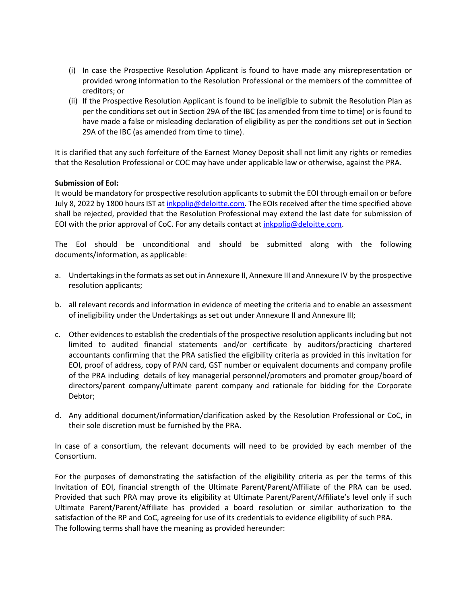- (i) In case the Prospective Resolution Applicant is found to have made any misrepresentation or provided wrong information to the Resolution Professional or the members of the committee of creditors; or
- (ii) If the Prospective Resolution Applicant is found to be ineligible to submit the Resolution Plan as per the conditions set out in Section 29A of the IBC (as amended from time to time) or is found to have made a false or misleading declaration of eligibility as per the conditions set out in Section 29A of the IBC (as amended from time to time).

It is clarified that any such forfeiture of the Earnest Money Deposit shall not limit any rights or remedies that the Resolution Professional or COC may have under applicable law or otherwise, against the PRA.

# **Submission of EoI:**

It would be mandatory for prospective resolution applicants to submit the EOI through email on or before July 8, 2022 by 1800 hours IST at *inkpplip@deloitte.com*. The EOIs received after the time specified above shall be rejected, provided that the Resolution Professional may extend the last date for submission of EOI with the prior approval of CoC. For any details contact at [inkpplip@deloitte.com.](mailto:inkpplip@deloitte.com)

The EoI should be unconditional and should be submitted along with the following documents/information, as applicable:

- a. Undertakings in the formats asset out in Annexure II, Annexure III and Annexure IV by the prospective resolution applicants;
- b. all relevant records and information in evidence of meeting the criteria and to enable an assessment of ineligibility under the Undertakings as set out under Annexure II and Annexure III;
- c. Other evidences to establish the credentials of the prospective resolution applicants including but not limited to audited financial statements and/or certificate by auditors/practicing chartered accountants confirming that the PRA satisfied the eligibility criteria as provided in this invitation for EOI, proof of address, copy of PAN card, GST number or equivalent documents and company profile of the PRA including details of key managerial personnel/promoters and promoter group/board of directors/parent company/ultimate parent company and rationale for bidding for the Corporate Debtor;
- d. Any additional document/information/clarification asked by the Resolution Professional or CoC, in their sole discretion must be furnished by the PRA.

In case of a consortium, the relevant documents will need to be provided by each member of the Consortium.

For the purposes of demonstrating the satisfaction of the eligibility criteria as per the terms of this Invitation of EOI, financial strength of the Ultimate Parent/Parent/Affiliate of the PRA can be used. Provided that such PRA may prove its eligibility at Ultimate Parent/Parent/Affiliate's level only if such Ultimate Parent/Parent/Affiliate has provided a board resolution or similar authorization to the satisfaction of the RP and CoC, agreeing for use of its credentials to evidence eligibility of such PRA. The following terms shall have the meaning as provided hereunder: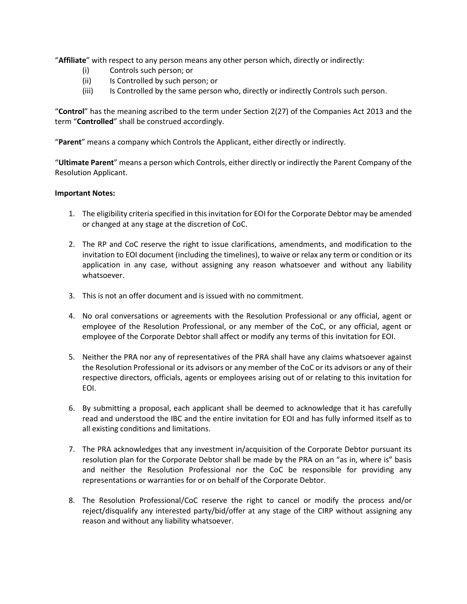"**Affiliate**" with respect to any person means any other person which, directly or indirectly:

- (i) Controls such person; or
- (ii) Is Controlled by such person; or
- (iii) Is Controlled by the same person who, directly or indirectly Controls such person.

"**Control**" has the meaning ascribed to the term under Section 2(27) of the Companies Act 2013 and the term "**Controlled**" shall be construed accordingly.

"**Parent**" means a company which Controls the Applicant, either directly or indirectly.

"**Ultimate Parent**" means a person which Controls, either directly or indirectly the Parent Company of the Resolution Applicant.

#### **Important Notes:**

- 1. The eligibility criteria specified in this invitation for EOI for the Corporate Debtor may be amended or changed at any stage at the discretion of CoC.
- 2. The RP and CoC reserve the right to issue clarifications, amendments, and modification to the invitation to EOI document (including the timelines), to waive or relax any term or condition or its application in any case, without assigning any reason whatsoever and without any liability whatsoever.
- 3. This is not an offer document and is issued with no commitment.
- 4. No oral conversations or agreements with the Resolution Professional or any official, agent or employee of the Resolution Professional, or any member of the CoC, or any official, agent or employee of the Corporate Debtor shall affect or modify any terms of this invitation for EOI.
- 5. Neither the PRA nor any of representatives of the PRA shall have any claims whatsoever against the Resolution Professional or its advisors or any member of the CoC or its advisors or any of their respective directors, officials, agents or employees arising out of or relating to this invitation for EOI.
- 6. By submitting a proposal, each applicant shall be deemed to acknowledge that it has carefully read and understood the IBC and the entire invitation for EOI and has fully informed itself as to all existing conditions and limitations.
- 7. The PRA acknowledges that any investment in/acquisition of the Corporate Debtor pursuant its resolution plan for the Corporate Debtor shall be made by the PRA on an "as in, where is" basis and neither the Resolution Professional nor the CoC be responsible for providing any representations or warranties for or on behalf of the Corporate Debtor.
- 8. The Resolution Professional/CoC reserve the right to cancel or modify the process and/or reject/disqualify any interested party/bid/offer at any stage of the CIRP without assigning any reason and without any liability whatsoever.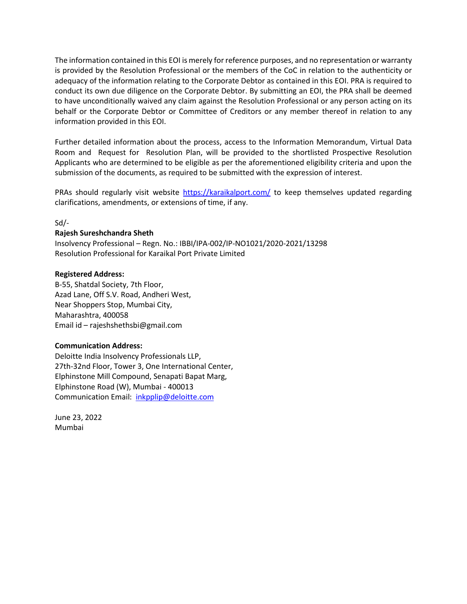The information contained in this EOI is merely for reference purposes, and no representation or warranty is provided by the Resolution Professional or the members of the CoC in relation to the authenticity or adequacy of the information relating to the Corporate Debtor as contained in this EOI. PRA is required to conduct its own due diligence on the Corporate Debtor. By submitting an EOI, the PRA shall be deemed to have unconditionally waived any claim against the Resolution Professional or any person acting on its behalf or the Corporate Debtor or Committee of Creditors or any member thereof in relation to any information provided in this EOI.

Further detailed information about the process, access to the Information Memorandum, Virtual Data Room and Request for Resolution Plan, will be provided to the shortlisted Prospective Resolution Applicants who are determined to be eligible as per the aforementioned eligibility criteria and upon the submission of the documents, as required to be submitted with the expression of interest.

PRAs should regularly visit website <https://karaikalport.com/> to keep themselves updated regarding clarifications, amendments, or extensions of time, if any.

# Sd/-

# **Rajesh Sureshchandra Sheth**

Insolvency Professional – Regn. No.: IBBI/IPA-002/IP-NO1021/2020-2021/13298 Resolution Professional for Karaikal Port Private Limited

# **Registered Address:**

B-55, Shatdal Society, 7th Floor, Azad Lane, Off S.V. Road, Andheri West, Near Shoppers Stop, Mumbai City, Maharashtra, 400058 Email id – rajeshshethsbi@gmail.com

#### **Communication Address:**

Deloitte India Insolvency Professionals LLP, 27th-32nd Floor, Tower 3, One International Center, Elphinstone Mill Compound, Senapati Bapat Marg, Elphinstone Road (W), Mumbai - 400013 Communication Email: [inkpplip@deloitte.com](mailto:inkpplip@deloitte.com)

June 23, 2022 Mumbai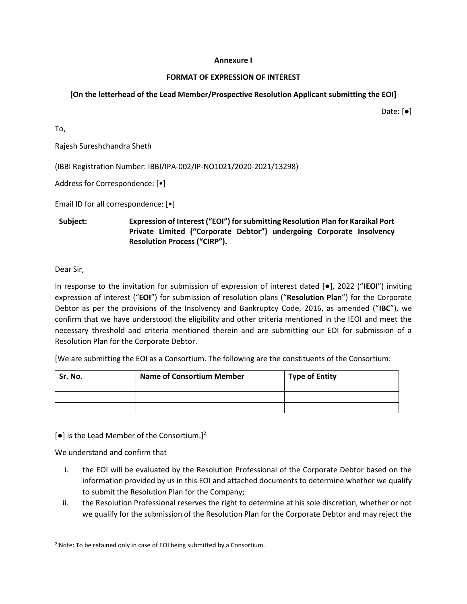#### **Annexure I**

# **FORMAT OF EXPRESSION OF INTEREST**

# **[On the letterhead of the Lead Member/Prospective Resolution Applicant submitting the EOI]**

Date: [●]

To,

Rajesh Sureshchandra Sheth

(IBBI Registration Number: IBBI/IPA-002/IP-NO1021/2020-2021/13298)

Address for Correspondence: [•]

Email ID for all correspondence: [•]

**Subject: Expression of Interest ("EOI") for submitting Resolution Plan for Karaikal Port Private Limited ("Corporate Debtor") undergoing Corporate Insolvency Resolution Process ("CIRP").**

Dear Sir,

In response to the invitation for submission of expression of interest dated [●], 2022 ("**IEOI**") inviting expression of interest ("**EOI**") for submission of resolution plans ("**Resolution Plan**") for the Corporate Debtor as per the provisions of the Insolvency and Bankruptcy Code, 2016, as amended ("**IBC**"), we confirm that we have understood the eligibility and other criteria mentioned in the IEOI and meet the necessary threshold and criteria mentioned therein and are submitting our EOI for submission of a Resolution Plan for the Corporate Debtor.

[We are submitting the EOI as a Consortium. The following are the constituents of the Consortium:

| Sr. No. | <b>Name of Consortium Member</b> | <b>Type of Entity</b> |
|---------|----------------------------------|-----------------------|
|         |                                  |                       |
|         |                                  |                       |

 $[e]$  is the Lead Member of the Consortium.]<sup>2</sup>

We understand and confirm that

- i. the EOI will be evaluated by the Resolution Professional of the Corporate Debtor based on the information provided by us in this EOI and attached documents to determine whether we qualify to submit the Resolution Plan for the Company;
- ii. the Resolution Professional reserves the right to determine at his sole discretion, whether or not we qualify for the submission of the Resolution Plan for the Corporate Debtor and may reject the

<sup>&</sup>lt;sup>2</sup> Note: To be retained only in case of EOI being submitted by a Consortium.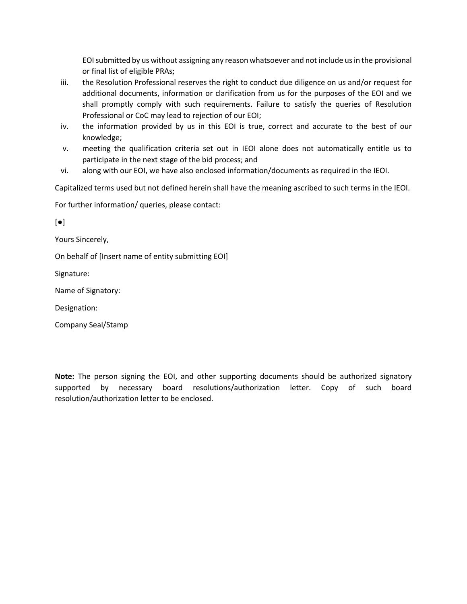EOI submitted by us without assigning any reason whatsoever and not include us in the provisional or final list of eligible PRAs;

- iii. the Resolution Professional reserves the right to conduct due diligence on us and/or request for additional documents, information or clarification from us for the purposes of the EOI and we shall promptly comply with such requirements. Failure to satisfy the queries of Resolution Professional or CoC may lead to rejection of our EOI;
- iv. the information provided by us in this EOI is true, correct and accurate to the best of our knowledge;
- v. meeting the qualification criteria set out in IEOI alone does not automatically entitle us to participate in the next stage of the bid process; and
- vi. along with our EOI, we have also enclosed information/documents as required in the IEOI.

Capitalized terms used but not defined herein shall have the meaning ascribed to such terms in the IEOI.

For further information/ queries, please contact:

[●]

Yours Sincerely,

On behalf of [Insert name of entity submitting EOI]

Signature:

Name of Signatory:

Designation:

Company Seal/Stamp

**Note:** The person signing the EOI, and other supporting documents should be authorized signatory supported by necessary board resolutions/authorization letter. Copy of such board resolution/authorization letter to be enclosed.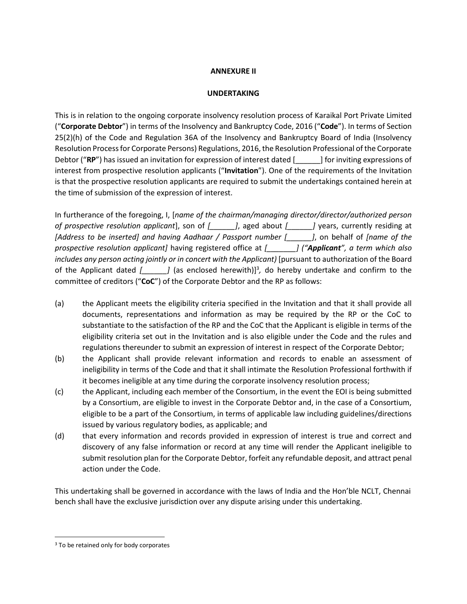# **ANNEXURE II**

# **UNDERTAKING**

This is in relation to the ongoing corporate insolvency resolution process of Karaikal Port Private Limited ("**Corporate Debtor**") in terms of the Insolvency and Bankruptcy Code, 2016 ("**Code**"). In terms of Section 25(2)(h) of the Code and Regulation 36A of the Insolvency and Bankruptcy Board of India (Insolvency Resolution Process for Corporate Persons) Regulations, 2016, the Resolution Professional of the Corporate Debtor ("**RP**") has issued an invitation for expression of interest dated [\_\_\_\_\_\_] for inviting expressions of interest from prospective resolution applicants ("**Invitation**"). One of the requirements of the Invitation is that the prospective resolution applicants are required to submit the undertakings contained herein at the time of submission of the expression of interest.

In furtherance of the foregoing, I, [*name of the chairman/managing director/director/authorized person of prospective resolution applicant*], son of *[\_\_\_\_\_\_]*, aged about *[\_\_\_\_\_\_]* years, currently residing at *[Address to be inserted] and having Aadhaar / Passport number [\_\_\_\_\_\_]*, on behalf of *[name of the prospective resolution applicant]* having registered office at *[\_\_\_\_\_\_\_] ("Applicant", a term which also includes any person acting jointly or in concert with the Applicant)* [pursuant to authorization of the Board of the Applicant dated *[\_\_\_\_\_\_]* (as enclosed herewith)]<sup>3</sup>, do hereby undertake and confirm to the committee of creditors ("**CoC**") of the Corporate Debtor and the RP as follows:

- (a) the Applicant meets the eligibility criteria specified in the Invitation and that it shall provide all documents, representations and information as may be required by the RP or the CoC to substantiate to the satisfaction of the RP and the CoC that the Applicant is eligible in terms of the eligibility criteria set out in the Invitation and is also eligible under the Code and the rules and regulations thereunder to submit an expression of interest in respect of the Corporate Debtor;
- (b) the Applicant shall provide relevant information and records to enable an assessment of ineligibility in terms of the Code and that it shall intimate the Resolution Professional forthwith if it becomes ineligible at any time during the corporate insolvency resolution process;
- (c) the Applicant, including each member of the Consortium, in the event the EOI is being submitted by a Consortium, are eligible to invest in the Corporate Debtor and, in the case of a Consortium, eligible to be a part of the Consortium, in terms of applicable law including guidelines/directions issued by various regulatory bodies, as applicable; and
- (d) that every information and records provided in expression of interest is true and correct and discovery of any false information or record at any time will render the Applicant ineligible to submit resolution plan for the Corporate Debtor, forfeit any refundable deposit, and attract penal action under the Code.

This undertaking shall be governed in accordance with the laws of India and the Hon'ble NCLT, Chennai bench shall have the exclusive jurisdiction over any dispute arising under this undertaking.

<sup>&</sup>lt;sup>3</sup> To be retained only for body corporates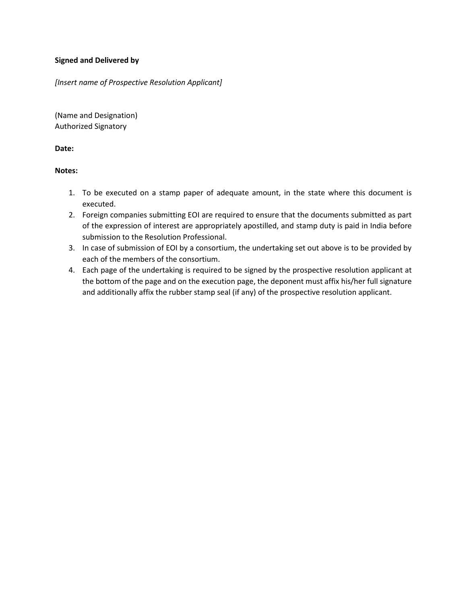# **Signed and Delivered by**

*[Insert name of Prospective Resolution Applicant]* 

(Name and Designation) Authorized Signatory

**Date:**

# **Notes:**

- 1. To be executed on a stamp paper of adequate amount, in the state where this document is executed.
- 2. Foreign companies submitting EOI are required to ensure that the documents submitted as part of the expression of interest are appropriately apostilled, and stamp duty is paid in India before submission to the Resolution Professional.
- 3. In case of submission of EOI by a consortium, the undertaking set out above is to be provided by each of the members of the consortium.
- 4. Each page of the undertaking is required to be signed by the prospective resolution applicant at the bottom of the page and on the execution page, the deponent must affix his/her full signature and additionally affix the rubber stamp seal (if any) of the prospective resolution applicant.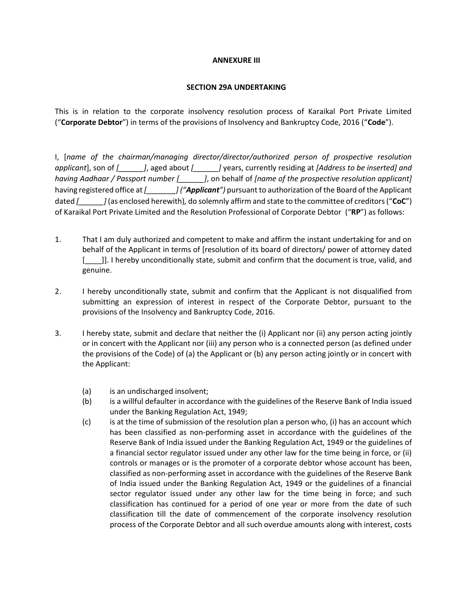#### **ANNEXURE III**

#### **SECTION 29A UNDERTAKING**

This is in relation to the corporate insolvency resolution process of Karaikal Port Private Limited ("**Corporate Debtor**") in terms of the provisions of Insolvency and Bankruptcy Code, 2016 ("**Code**").

I, [*name of the chairman/managing director/director/authorized person of prospective resolution applicant*], son of *[\_\_\_\_\_\_]*, aged about *[\_\_\_\_\_\_]* years, currently residing at *[Address to be inserted] and having Aadhaar / Passport number [\_\_\_\_\_\_]*, on behalf of *[name of the prospective resolution applicant]*  having registered office at *[\_\_\_\_\_\_\_] ("Applicant")* pursuant to authorization of the Board of the Applicant dated *[\_\_\_\_\_\_]* (as enclosed herewith)*,* do solemnly affirm and state to the committee of creditors ("**CoC**") of Karaikal Port Private Limited and the Resolution Professional of Corporate Debtor ("**RP**") as follows:

- 1. That I am duly authorized and competent to make and affirm the instant undertaking for and on behalf of the Applicant in terms of [resolution of its board of directors/ power of attorney dated [100]]. I hereby unconditionally state, submit and confirm that the document is true, valid, and genuine.
- 2. I hereby unconditionally state, submit and confirm that the Applicant is not disqualified from submitting an expression of interest in respect of the Corporate Debtor, pursuant to the provisions of the Insolvency and Bankruptcy Code, 2016.
- 3. I hereby state, submit and declare that neither the (i) Applicant nor (ii) any person acting jointly or in concert with the Applicant nor (iii) any person who is a connected person (as defined under the provisions of the Code) of (a) the Applicant or (b) any person acting jointly or in concert with the Applicant:
	- (a) is an undischarged insolvent;
	- (b) is a willful defaulter in accordance with the guidelines of the Reserve Bank of India issued under the Banking Regulation Act, 1949;
	- $(c)$  is at the time of submission of the resolution plan a person who, (i) has an account which has been classified as non-performing asset in accordance with the guidelines of the Reserve Bank of India issued under the Banking Regulation Act, 1949 or the guidelines of a financial sector regulator issued under any other law for the time being in force, or (ii) controls or manages or is the promoter of a corporate debtor whose account has been, classified as non-performing asset in accordance with the guidelines of the Reserve Bank of India issued under the Banking Regulation Act, 1949 or the guidelines of a financial sector regulator issued under any other law for the time being in force; and such classification has continued for a period of one year or more from the date of such classification till the date of commencement of the corporate insolvency resolution process of the Corporate Debtor and all such overdue amounts along with interest, costs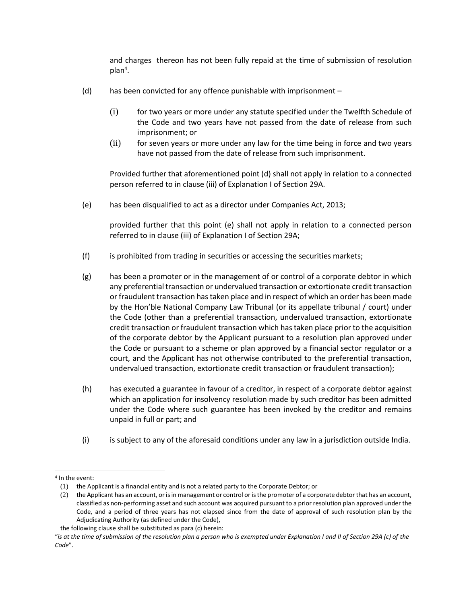and charges thereon has not been fully repaid at the time of submission of resolution  $plan<sup>4</sup>$ .

- (d) has been convicted for any offence punishable with imprisonment
	- (i) for two years or more under any statute specified under the Twelfth Schedule of the Code and two years have not passed from the date of release from such imprisonment; or
	- (ii) for seven years or more under any law for the time being in force and two years have not passed from the date of release from such imprisonment.

Provided further that aforementioned point (d) shall not apply in relation to a connected person referred to in clause (iii) of Explanation I of Section 29A.

(e) has been disqualified to act as a director under Companies Act, 2013;

provided further that this point (e) shall not apply in relation to a connected person referred to in clause (iii) of Explanation I of Section 29A;

- (f) is prohibited from trading in securities or accessing the securities markets;
- (g) has been a promoter or in the management of or control of a corporate debtor in which any preferential transaction or undervalued transaction or extortionate credit transaction or fraudulent transaction has taken place and in respect of which an order has been made by the Hon'ble National Company Law Tribunal (or its appellate tribunal / court) under the Code (other than a preferential transaction, undervalued transaction, extortionate credit transaction or fraudulent transaction which has taken place prior to the acquisition of the corporate debtor by the Applicant pursuant to a resolution plan approved under the Code or pursuant to a scheme or plan approved by a financial sector regulator or a court, and the Applicant has not otherwise contributed to the preferential transaction, undervalued transaction, extortionate credit transaction or fraudulent transaction);
- (h) has executed a guarantee in favour of a creditor, in respect of a corporate debtor against which an application for insolvency resolution made by such creditor has been admitted under the Code where such guarantee has been invoked by the creditor and remains unpaid in full or part; and
- (i) is subject to any of the aforesaid conditions under any law in a jurisdiction outside India.

<sup>4</sup> In the event:

<sup>(1)</sup> the Applicant is a financial entity and is not a related party to the Corporate Debtor; or

<sup>(2)</sup> the Applicant has an account, or is in management or control or is the promoter of a corporate debtor that has an account, classified as non-performing asset and such account was acquired pursuant to a prior resolution plan approved under the Code, and a period of three years has not elapsed since from the date of approval of such resolution plan by the Adjudicating Authority (as defined under the Code),

the following clause shall be substituted as para (c) herein:

<sup>&</sup>quot;*is at the time of submission of the resolution plan a person who is exempted under Explanation I and II of Section 29A (c) of the Code*".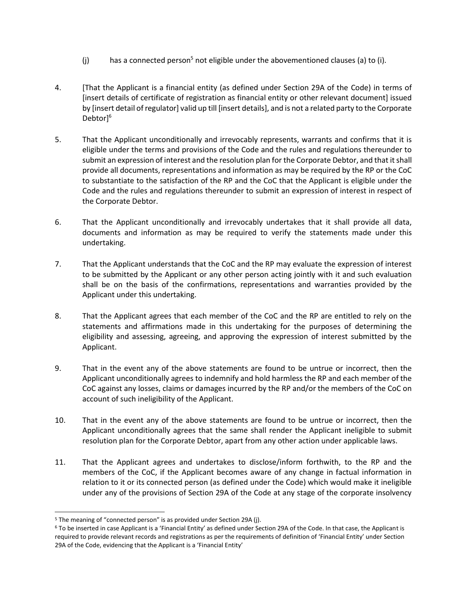- (i) has a connected person<sup>5</sup> not eligible under the abovementioned clauses (a) to (i).
- 4. [That the Applicant is a financial entity (as defined under Section 29A of the Code) in terms of [insert details of certificate of registration as financial entity or other relevant document] issued by [insert detail of regulator] valid up till [insert details], and is not a related party to the Corporate Debtor<sup>16</sup>
- 5. That the Applicant unconditionally and irrevocably represents, warrants and confirms that it is eligible under the terms and provisions of the Code and the rules and regulations thereunder to submit an expression of interest and the resolution plan for the Corporate Debtor, and that it shall provide all documents, representations and information as may be required by the RP or the CoC to substantiate to the satisfaction of the RP and the CoC that the Applicant is eligible under the Code and the rules and regulations thereunder to submit an expression of interest in respect of the Corporate Debtor.
- 6. That the Applicant unconditionally and irrevocably undertakes that it shall provide all data, documents and information as may be required to verify the statements made under this undertaking.
- 7. That the Applicant understands that the CoC and the RP may evaluate the expression of interest to be submitted by the Applicant or any other person acting jointly with it and such evaluation shall be on the basis of the confirmations, representations and warranties provided by the Applicant under this undertaking.
- 8. That the Applicant agrees that each member of the CoC and the RP are entitled to rely on the statements and affirmations made in this undertaking for the purposes of determining the eligibility and assessing, agreeing, and approving the expression of interest submitted by the Applicant.
- 9. That in the event any of the above statements are found to be untrue or incorrect, then the Applicant unconditionally agrees to indemnify and hold harmless the RP and each member of the CoC against any losses, claims or damages incurred by the RP and/or the members of the CoC on account of such ineligibility of the Applicant.
- 10. That in the event any of the above statements are found to be untrue or incorrect, then the Applicant unconditionally agrees that the same shall render the Applicant ineligible to submit resolution plan for the Corporate Debtor, apart from any other action under applicable laws.
- 11. That the Applicant agrees and undertakes to disclose/inform forthwith, to the RP and the members of the CoC, if the Applicant becomes aware of any change in factual information in relation to it or its connected person (as defined under the Code) which would make it ineligible under any of the provisions of Section 29A of the Code at any stage of the corporate insolvency

<sup>&</sup>lt;sup>5</sup> The meaning of "connected person" is as provided under Section 29A (j).

<sup>6</sup> To be inserted in case Applicant is a 'Financial Entity' as defined under Section 29A of the Code. In that case, the Applicant is required to provide relevant records and registrations as per the requirements of definition of 'Financial Entity' under Section 29A of the Code, evidencing that the Applicant is a 'Financial Entity'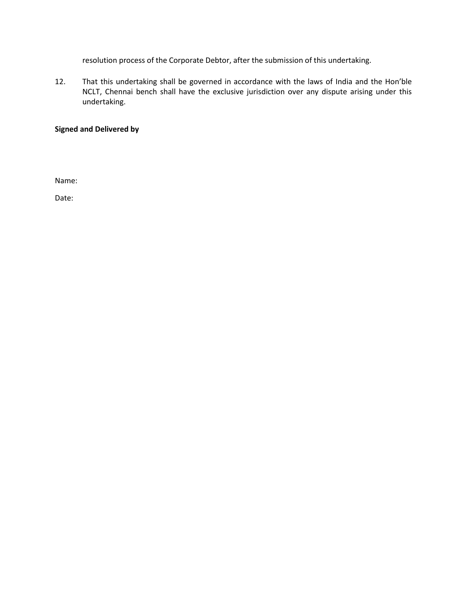resolution process of the Corporate Debtor, after the submission of this undertaking.

12. That this undertaking shall be governed in accordance with the laws of India and the Hon'ble NCLT, Chennai bench shall have the exclusive jurisdiction over any dispute arising under this undertaking.

# **Signed and Delivered by**

Name:

Date: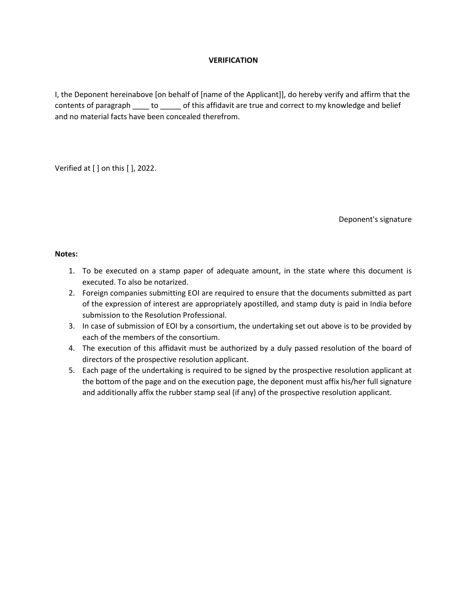# **VERIFICATION**

I, the Deponent hereinabove [on behalf of [name of the Applicant]], do hereby verify and affirm that the contents of paragraph to bothis affidavit are true and correct to my knowledge and belief and no material facts have been concealed therefrom.

Verified at [ ] on this [ ], 2022.

Deponent's signature

# **Notes:**

- 1. To be executed on a stamp paper of adequate amount, in the state where this document is executed. To also be notarized.
- 2. Foreign companies submitting EOI are required to ensure that the documents submitted as part of the expression of interest are appropriately apostilled, and stamp duty is paid in India before submission to the Resolution Professional.
- 3. In case of submission of EOI by a consortium, the undertaking set out above is to be provided by each of the members of the consortium.
- 4. The execution of this affidavit must be authorized by a duly passed resolution of the board of directors of the prospective resolution applicant.
- 5. Each page of the undertaking is required to be signed by the prospective resolution applicant at the bottom of the page and on the execution page, the deponent must affix his/her full signature and additionally affix the rubber stamp seal (if any) of the prospective resolution applicant.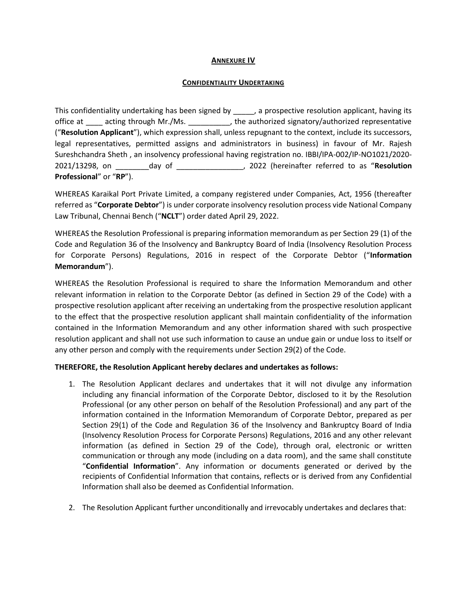# **ANNEXURE IV**

#### **CONFIDENTIALITY UNDERTAKING**

This confidentiality undertaking has been signed by \_\_\_\_\_, a prospective resolution applicant, having its office at \_\_\_\_ acting through Mr./Ms. \_\_\_\_\_\_\_\_\_\_, the authorized signatory/authorized representative ("**Resolution Applicant**"), which expression shall, unless repugnant to the context, include its successors, legal representatives, permitted assigns and administrators in business) in favour of Mr. Rajesh Sureshchandra Sheth , an insolvency professional having registration no. IBBI/IPA-002/IP-NO1021/2020- 2021/13298, on \_\_\_\_\_\_\_\_day of \_\_\_\_\_\_\_\_\_\_\_\_\_\_\_\_, 2022 (hereinafter referred to as "**Resolution Professional**" or "**RP**").

WHEREAS Karaikal Port Private Limited, a company registered under Companies, Act, 1956 (thereafter referred as "**Corporate Debtor**") is under corporate insolvency resolution process vide National Company Law Tribunal, Chennai Bench ("**NCLT**") order dated April 29, 2022.

WHEREAS the Resolution Professional is preparing information memorandum as per Section 29 (1) of the Code and Regulation 36 of the Insolvency and Bankruptcy Board of India (Insolvency Resolution Process for Corporate Persons) Regulations, 2016 in respect of the Corporate Debtor ("**Information Memorandum**").

WHEREAS the Resolution Professional is required to share the Information Memorandum and other relevant information in relation to the Corporate Debtor (as defined in Section 29 of the Code) with a prospective resolution applicant after receiving an undertaking from the prospective resolution applicant to the effect that the prospective resolution applicant shall maintain confidentiality of the information contained in the Information Memorandum and any other information shared with such prospective resolution applicant and shall not use such information to cause an undue gain or undue loss to itself or any other person and comply with the requirements under Section 29(2) of the Code.

# **THEREFORE, the Resolution Applicant hereby declares and undertakes as follows:**

- 1. The Resolution Applicant declares and undertakes that it will not divulge any information including any financial information of the Corporate Debtor, disclosed to it by the Resolution Professional (or any other person on behalf of the Resolution Professional) and any part of the information contained in the Information Memorandum of Corporate Debtor, prepared as per Section 29(1) of the Code and Regulation 36 of the Insolvency and Bankruptcy Board of India (Insolvency Resolution Process for Corporate Persons) Regulations, 2016 and any other relevant information (as defined in Section 29 of the Code), through oral, electronic or written communication or through any mode (including on a data room), and the same shall constitute "**Confidential Information**". Any information or documents generated or derived by the recipients of Confidential Information that contains, reflects or is derived from any Confidential Information shall also be deemed as Confidential Information.
- 2. The Resolution Applicant further unconditionally and irrevocably undertakes and declares that: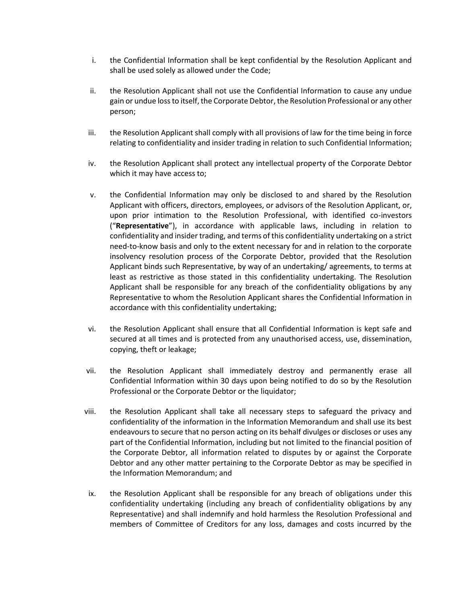- i. the Confidential Information shall be kept confidential by the Resolution Applicant and shall be used solely as allowed under the Code;
- ii. the Resolution Applicant shall not use the Confidential Information to cause any undue gain or undue loss to itself, the Corporate Debtor, the Resolution Professional or any other person;
- iii. the Resolution Applicant shall comply with all provisions of law for the time being in force relating to confidentiality and insider trading in relation to such Confidential Information;
- iv. the Resolution Applicant shall protect any intellectual property of the Corporate Debtor which it may have access to;
- v. the Confidential Information may only be disclosed to and shared by the Resolution Applicant with officers, directors, employees, or advisors of the Resolution Applicant, or, upon prior intimation to the Resolution Professional, with identified co-investors ("**Representative**"), in accordance with applicable laws, including in relation to confidentiality and insider trading, and terms of this confidentiality undertaking on a strict need-to-know basis and only to the extent necessary for and in relation to the corporate insolvency resolution process of the Corporate Debtor, provided that the Resolution Applicant binds such Representative, by way of an undertaking/ agreements, to terms at least as restrictive as those stated in this confidentiality undertaking. The Resolution Applicant shall be responsible for any breach of the confidentiality obligations by any Representative to whom the Resolution Applicant shares the Confidential Information in accordance with this confidentiality undertaking;
- vi. the Resolution Applicant shall ensure that all Confidential Information is kept safe and secured at all times and is protected from any unauthorised access, use, dissemination, copying, theft or leakage;
- vii. the Resolution Applicant shall immediately destroy and permanently erase all Confidential Information within 30 days upon being notified to do so by the Resolution Professional or the Corporate Debtor or the liquidator;
- viii. the Resolution Applicant shall take all necessary steps to safeguard the privacy and confidentiality of the information in the Information Memorandum and shall use its best endeavours to secure that no person acting on its behalf divulges or discloses or uses any part of the Confidential Information, including but not limited to the financial position of the Corporate Debtor, all information related to disputes by or against the Corporate Debtor and any other matter pertaining to the Corporate Debtor as may be specified in the Information Memorandum; and
- ix. the Resolution Applicant shall be responsible for any breach of obligations under this confidentiality undertaking (including any breach of confidentiality obligations by any Representative) and shall indemnify and hold harmless the Resolution Professional and members of Committee of Creditors for any loss, damages and costs incurred by the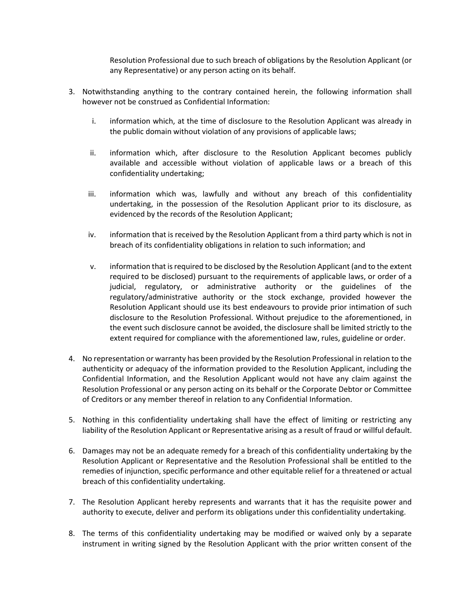Resolution Professional due to such breach of obligations by the Resolution Applicant (or any Representative) or any person acting on its behalf.

- 3. Notwithstanding anything to the contrary contained herein, the following information shall however not be construed as Confidential Information:
	- i. information which, at the time of disclosure to the Resolution Applicant was already in the public domain without violation of any provisions of applicable laws;
	- ii. information which, after disclosure to the Resolution Applicant becomes publicly available and accessible without violation of applicable laws or a breach of this confidentiality undertaking;
	- iii. information which was, lawfully and without any breach of this confidentiality undertaking, in the possession of the Resolution Applicant prior to its disclosure, as evidenced by the records of the Resolution Applicant;
	- iv. information that is received by the Resolution Applicant from a third party which is not in breach of its confidentiality obligations in relation to such information; and
	- v. information that is required to be disclosed by the Resolution Applicant (and to the extent required to be disclosed) pursuant to the requirements of applicable laws, or order of a judicial, regulatory, or administrative authority or the guidelines of the regulatory/administrative authority or the stock exchange, provided however the Resolution Applicant should use its best endeavours to provide prior intimation of such disclosure to the Resolution Professional. Without prejudice to the aforementioned, in the event such disclosure cannot be avoided, the disclosure shall be limited strictly to the extent required for compliance with the aforementioned law, rules, guideline or order.
- 4. No representation or warranty has been provided by the Resolution Professional in relation to the authenticity or adequacy of the information provided to the Resolution Applicant, including the Confidential Information, and the Resolution Applicant would not have any claim against the Resolution Professional or any person acting on its behalf or the Corporate Debtor or Committee of Creditors or any member thereof in relation to any Confidential Information.
- 5. Nothing in this confidentiality undertaking shall have the effect of limiting or restricting any liability of the Resolution Applicant or Representative arising as a result of fraud or willful default.
- 6. Damages may not be an adequate remedy for a breach of this confidentiality undertaking by the Resolution Applicant or Representative and the Resolution Professional shall be entitled to the remedies of injunction, specific performance and other equitable relief for a threatened or actual breach of this confidentiality undertaking.
- 7. The Resolution Applicant hereby represents and warrants that it has the requisite power and authority to execute, deliver and perform its obligations under this confidentiality undertaking.
- 8. The terms of this confidentiality undertaking may be modified or waived only by a separate instrument in writing signed by the Resolution Applicant with the prior written consent of the